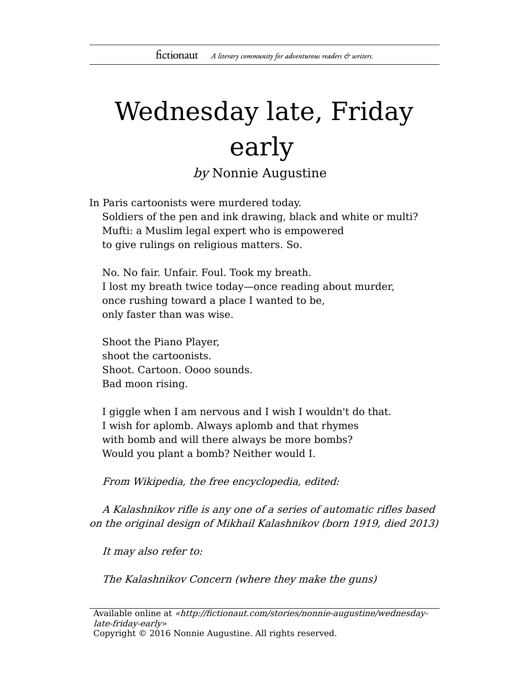## Wednesday late, Friday early

by Nonnie Augustine

In Paris cartoonists were murdered today. Soldiers of the pen and ink drawing, black and white or multi? Mufti: a Muslim legal expert who is empowered to give rulings on religious matters. So.

No. No fair. Unfair. Foul. Took my breath. I lost my breath twice today—once reading about murder, once rushing toward a place I wanted to be, only faster than was wise.

Shoot the Piano Player, shoot the cartoonists. Shoot. Cartoon. Oooo sounds. Bad moon rising.

I giggle when I am nervous and I wish I wouldn't do that. I wish for aplomb. Always aplomb and that rhymes with bomb and will there always be more bombs? Would you plant a bomb? Neither would I.

From Wikipedia, the free encyclopedia, edited:

A Kalashnikov rifle is any one of a series of automatic rifles based on the original design of Mikhail Kalashnikov (born 1919, died 2013)

It may also refer to:

The Kalashnikov Concern (where they make the guns)